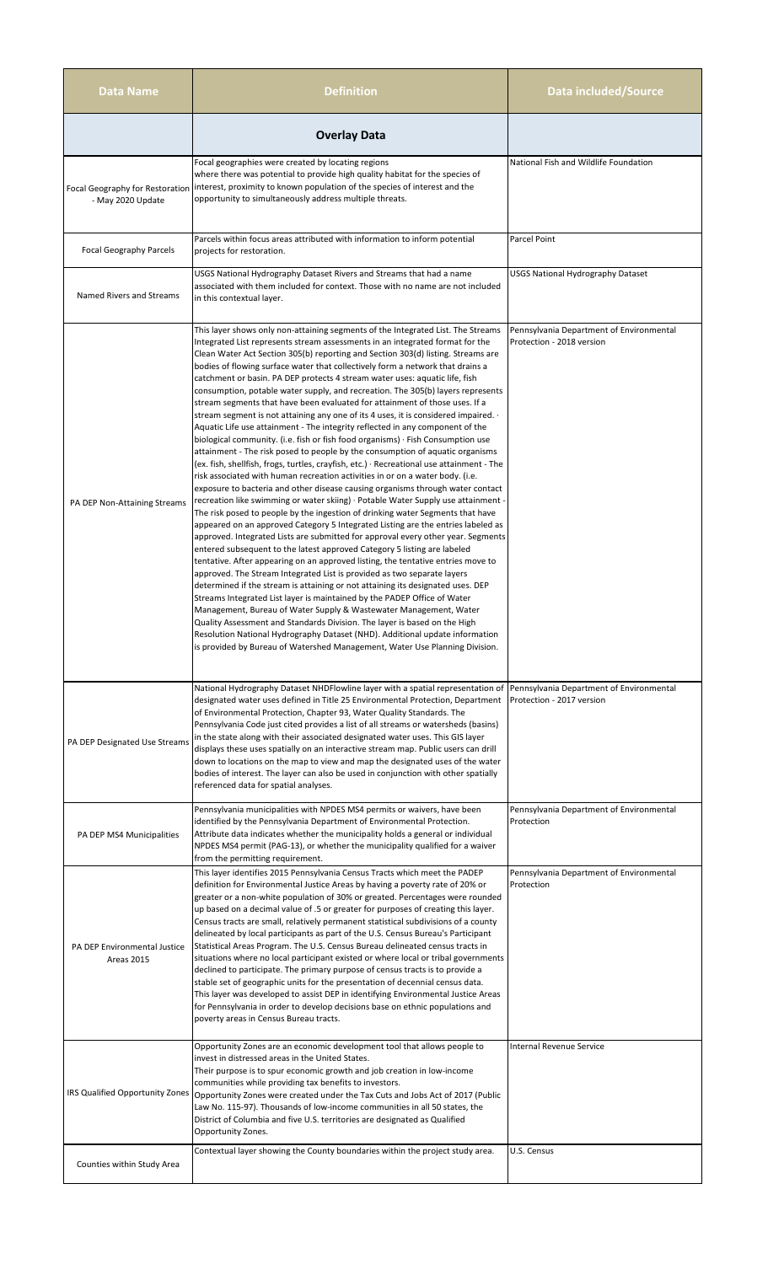| <b>Data Name</b>                                     | <b>Definition</b>                                                                                                                                                                                                                                                                                                                                                                                                                                                                                                                                                                                                                                                                                                                                                                                                                                                                                                                                                                                                                                                                                                                                                                                                                                                                                                                                                                                                                                                                                                                                                                                                                                                                                                                                                                                                                                                                                                                                                                                                                                                                                                                                                                                                                                                                                | Data included/Source                                                  |
|------------------------------------------------------|--------------------------------------------------------------------------------------------------------------------------------------------------------------------------------------------------------------------------------------------------------------------------------------------------------------------------------------------------------------------------------------------------------------------------------------------------------------------------------------------------------------------------------------------------------------------------------------------------------------------------------------------------------------------------------------------------------------------------------------------------------------------------------------------------------------------------------------------------------------------------------------------------------------------------------------------------------------------------------------------------------------------------------------------------------------------------------------------------------------------------------------------------------------------------------------------------------------------------------------------------------------------------------------------------------------------------------------------------------------------------------------------------------------------------------------------------------------------------------------------------------------------------------------------------------------------------------------------------------------------------------------------------------------------------------------------------------------------------------------------------------------------------------------------------------------------------------------------------------------------------------------------------------------------------------------------------------------------------------------------------------------------------------------------------------------------------------------------------------------------------------------------------------------------------------------------------------------------------------------------------------------------------------------------------|-----------------------------------------------------------------------|
|                                                      | <b>Overlay Data</b>                                                                                                                                                                                                                                                                                                                                                                                                                                                                                                                                                                                                                                                                                                                                                                                                                                                                                                                                                                                                                                                                                                                                                                                                                                                                                                                                                                                                                                                                                                                                                                                                                                                                                                                                                                                                                                                                                                                                                                                                                                                                                                                                                                                                                                                                              |                                                                       |
| Focal Geography for Restoration<br>- May 2020 Update | Focal geographies were created by locating regions<br>where there was potential to provide high quality habitat for the species of<br>interest, proximity to known population of the species of interest and the<br>opportunity to simultaneously address multiple threats.                                                                                                                                                                                                                                                                                                                                                                                                                                                                                                                                                                                                                                                                                                                                                                                                                                                                                                                                                                                                                                                                                                                                                                                                                                                                                                                                                                                                                                                                                                                                                                                                                                                                                                                                                                                                                                                                                                                                                                                                                      | National Fish and Wildlife Foundation                                 |
| <b>Focal Geography Parcels</b>                       | Parcels within focus areas attributed with information to inform potential<br>projects for restoration.                                                                                                                                                                                                                                                                                                                                                                                                                                                                                                                                                                                                                                                                                                                                                                                                                                                                                                                                                                                                                                                                                                                                                                                                                                                                                                                                                                                                                                                                                                                                                                                                                                                                                                                                                                                                                                                                                                                                                                                                                                                                                                                                                                                          | <b>Parcel Point</b>                                                   |
| Named Rivers and Streams                             | USGS National Hydrography Dataset Rivers and Streams that had a name<br>associated with them included for context. Those with no name are not included<br>in this contextual layer.                                                                                                                                                                                                                                                                                                                                                                                                                                                                                                                                                                                                                                                                                                                                                                                                                                                                                                                                                                                                                                                                                                                                                                                                                                                                                                                                                                                                                                                                                                                                                                                                                                                                                                                                                                                                                                                                                                                                                                                                                                                                                                              | USGS National Hydrography Dataset                                     |
| PA DEP Non-Attaining Streams                         | This layer shows only non-attaining segments of the Integrated List. The Streams<br>Integrated List represents stream assessments in an integrated format for the<br>Clean Water Act Section 305(b) reporting and Section 303(d) listing. Streams are<br>bodies of flowing surface water that collectively form a network that drains a<br>catchment or basin. PA DEP protects 4 stream water uses: aquatic life, fish<br>consumption, potable water supply, and recreation. The 305(b) layers represents<br>stream segments that have been evaluated for attainment of those uses. If a<br>stream segment is not attaining any one of its 4 uses, it is considered impaired. $\cdot$<br>Aquatic Life use attainment - The integrity reflected in any component of the<br>biological community. (i.e. fish or fish food organisms) $\cdot$ Fish Consumption use<br>attainment - The risk posed to people by the consumption of aquatic organisms<br>(ex. fish, shellfish, frogs, turtles, crayfish, etc.) $\cdot$ Recreational use attainment - The<br>risk associated with human recreation activities in or on a water body. (i.e.<br>exposure to bacteria and other disease causing organisms through water contact<br>recreation like swimming or water skiing) · Potable Water Supply use attainment -<br>The risk posed to people by the ingestion of drinking water Segments that have<br>appeared on an approved Category 5 Integrated Listing are the entries labeled as<br>approved. Integrated Lists are submitted for approval every other year. Segments<br>entered subsequent to the latest approved Category 5 listing are labeled<br>tentative. After appearing on an approved listing, the tentative entries move to<br>approved. The Stream Integrated List is provided as two separate layers<br>determined if the stream is attaining or not attaining its designated uses. DEP<br>Streams Integrated List layer is maintained by the PADEP Office of Water<br>Management, Bureau of Water Supply & Wastewater Management, Water<br>Quality Assessment and Standards Division. The layer is based on the High<br>Resolution National Hydrography Dataset (NHD). Additional update information<br>is provided by Bureau of Watershed Management, Water Use Planning Division. | Pennsylvania Department of Environmental<br>Protection - 2018 version |
| PA DEP Designated Use Streams                        | National Hydrography Dataset NHDFlowline layer with a spatial representation of<br>designated water uses defined in Title 25 Environmental Protection, Department<br>of Environmental Protection, Chapter 93, Water Quality Standards. The<br>Pennsylvania Code just cited provides a list of all streams or watersheds (basins)<br>in the state along with their associated designated water uses. This GIS layer<br>displays these uses spatially on an interactive stream map. Public users can drill<br>down to locations on the map to view and map the designated uses of the water<br>bodies of interest. The layer can also be used in conjunction with other spatially<br>referenced data for spatial analyses.                                                                                                                                                                                                                                                                                                                                                                                                                                                                                                                                                                                                                                                                                                                                                                                                                                                                                                                                                                                                                                                                                                                                                                                                                                                                                                                                                                                                                                                                                                                                                                         | Pennsylvania Department of Environmental<br>Protection - 2017 version |
| PA DEP MS4 Municipalities                            | Pennsylvania municipalities with NPDES MS4 permits or waivers, have been<br>identified by the Pennsylvania Department of Environmental Protection.<br>Attribute data indicates whether the municipality holds a general or individual<br>NPDES MS4 permit (PAG-13), or whether the municipality qualified for a waiver<br>from the permitting requirement.                                                                                                                                                                                                                                                                                                                                                                                                                                                                                                                                                                                                                                                                                                                                                                                                                                                                                                                                                                                                                                                                                                                                                                                                                                                                                                                                                                                                                                                                                                                                                                                                                                                                                                                                                                                                                                                                                                                                       | Pennsylvania Department of Environmental<br>Protection                |
| PA DEP Environmental Justice<br>Areas 2015           | This layer identifies 2015 Pennsylvania Census Tracts which meet the PADEP<br>definition for Environmental Justice Areas by having a poverty rate of 20% or<br>greater or a non-white population of 30% or greated. Percentages were rounded<br>up based on a decimal value of .5 or greater for purposes of creating this layer.<br>Census tracts are small, relatively permanent statistical subdivisions of a county<br>delineated by local participants as part of the U.S. Census Bureau's Participant<br>Statistical Areas Program. The U.S. Census Bureau delineated census tracts in<br>situations where no local participant existed or where local or tribal governments<br>declined to participate. The primary purpose of census tracts is to provide a<br>stable set of geographic units for the presentation of decennial census data.<br>This layer was developed to assist DEP in identifying Environmental Justice Areas<br>for Pennsylvania in order to develop decisions base on ethnic populations and<br>poverty areas in Census Bureau tracts.                                                                                                                                                                                                                                                                                                                                                                                                                                                                                                                                                                                                                                                                                                                                                                                                                                                                                                                                                                                                                                                                                                                                                                                                                             | Pennsylvania Department of Environmental<br>Protection                |
| IRS Qualified Opportunity Zones                      | Opportunity Zones are an economic development tool that allows people to<br>invest in distressed areas in the United States.<br>Their purpose is to spur economic growth and job creation in low-income<br>communities while providing tax benefits to investors.<br>Opportunity Zones were created under the Tax Cuts and Jobs Act of 2017 (Public<br>Law No. 115-97). Thousands of low-income communities in all 50 states, the<br>District of Columbia and five U.S. territories are designated as Qualified<br>Opportunity Zones.                                                                                                                                                                                                                                                                                                                                                                                                                                                                                                                                                                                                                                                                                                                                                                                                                                                                                                                                                                                                                                                                                                                                                                                                                                                                                                                                                                                                                                                                                                                                                                                                                                                                                                                                                            | <b>Internal Revenue Service</b>                                       |
| Counties within Study Area                           | Contextual layer showing the County boundaries within the project study area.                                                                                                                                                                                                                                                                                                                                                                                                                                                                                                                                                                                                                                                                                                                                                                                                                                                                                                                                                                                                                                                                                                                                                                                                                                                                                                                                                                                                                                                                                                                                                                                                                                                                                                                                                                                                                                                                                                                                                                                                                                                                                                                                                                                                                    | U.S. Census                                                           |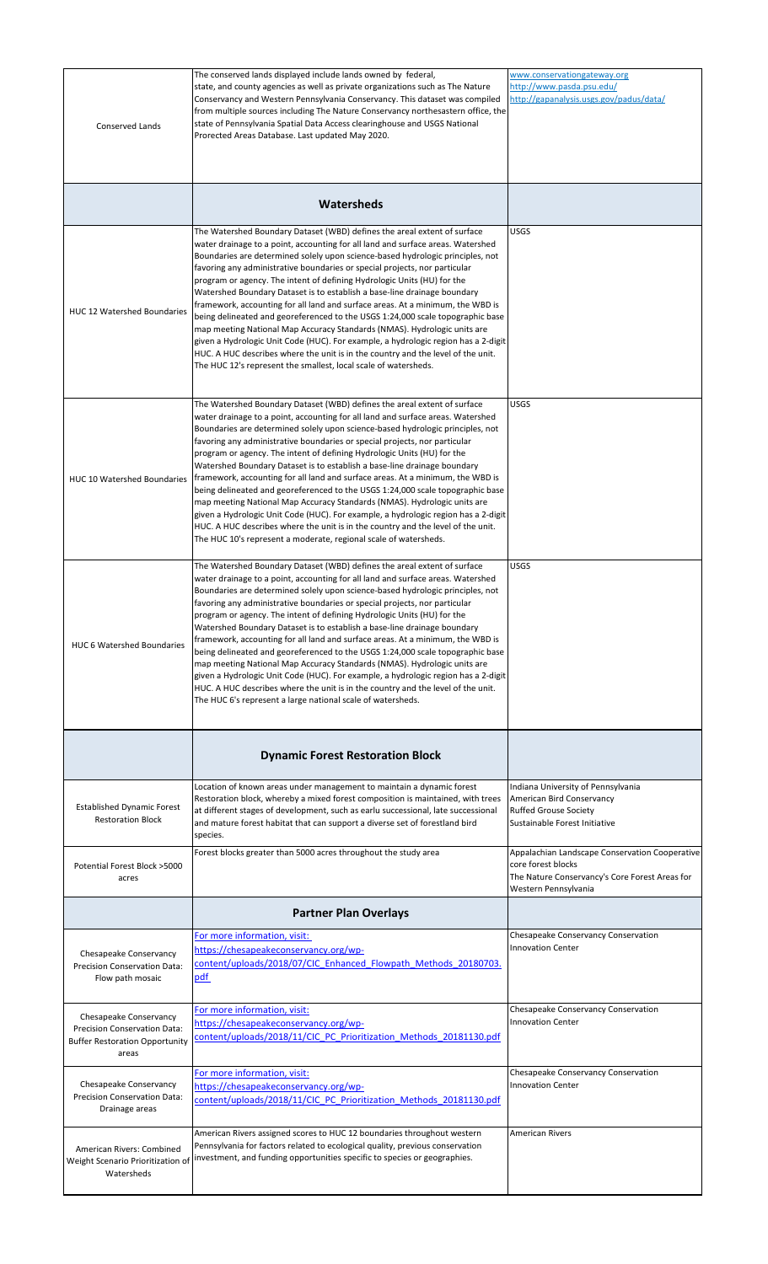|                                                                                                          | The conserved lands displayed include lands owned by federal,                                                                                                                                                                                                                                                                                                                                                                                                                                                                                                                                                                                                                                                                                                                                                                                                                                                                                                                    | www.conservationgateway.org                                                                                                                    |
|----------------------------------------------------------------------------------------------------------|----------------------------------------------------------------------------------------------------------------------------------------------------------------------------------------------------------------------------------------------------------------------------------------------------------------------------------------------------------------------------------------------------------------------------------------------------------------------------------------------------------------------------------------------------------------------------------------------------------------------------------------------------------------------------------------------------------------------------------------------------------------------------------------------------------------------------------------------------------------------------------------------------------------------------------------------------------------------------------|------------------------------------------------------------------------------------------------------------------------------------------------|
| Conserved Lands                                                                                          | state, and county agencies as well as private organizations such as The Nature<br>Conservancy and Western Pennsylvania Conservancy. This dataset was compiled<br>from multiple sources including The Nature Conservancy northesastern office, the<br>state of Pennsylvania Spatial Data Access clearinghouse and USGS National<br>Prorected Areas Database. Last updated May 2020.                                                                                                                                                                                                                                                                                                                                                                                                                                                                                                                                                                                               | http://www.pasda.psu.edu/<br>http://gapanalysis.usgs.gov/padus/data/                                                                           |
|                                                                                                          | Watersheds                                                                                                                                                                                                                                                                                                                                                                                                                                                                                                                                                                                                                                                                                                                                                                                                                                                                                                                                                                       |                                                                                                                                                |
| HUC 12 Watershed Boundaries                                                                              | The Watershed Boundary Dataset (WBD) defines the areal extent of surface<br>water drainage to a point, accounting for all land and surface areas. Watershed<br>Boundaries are determined solely upon science-based hydrologic principles, not<br>favoring any administrative boundaries or special projects, nor particular<br>program or agency. The intent of defining Hydrologic Units (HU) for the<br>Watershed Boundary Dataset is to establish a base-line drainage boundary<br>framework, accounting for all land and surface areas. At a minimum, the WBD is<br>being delineated and georeferenced to the USGS 1:24,000 scale topographic base<br>map meeting National Map Accuracy Standards (NMAS). Hydrologic units are<br>given a Hydrologic Unit Code (HUC). For example, a hydrologic region has a 2-digit<br>HUC. A HUC describes where the unit is in the country and the level of the unit.<br>The HUC 12's represent the smallest, local scale of watersheds.  | USGS                                                                                                                                           |
| <b>HUC 10 Watershed Boundaries</b>                                                                       | The Watershed Boundary Dataset (WBD) defines the areal extent of surface<br>water drainage to a point, accounting for all land and surface areas. Watershed<br>Boundaries are determined solely upon science-based hydrologic principles, not<br>favoring any administrative boundaries or special projects, nor particular<br>program or agency. The intent of defining Hydrologic Units (HU) for the<br>Watershed Boundary Dataset is to establish a base-line drainage boundary<br>framework, accounting for all land and surface areas. At a minimum, the WBD is<br>being delineated and georeferenced to the USGS 1:24,000 scale topographic base<br>map meeting National Map Accuracy Standards (NMAS). Hydrologic units are<br>given a Hydrologic Unit Code (HUC). For example, a hydrologic region has a 2-digit<br>HUC. A HUC describes where the unit is in the country and the level of the unit.<br>The HUC 10's represent a moderate, regional scale of watersheds. | USGS                                                                                                                                           |
| <b>HUC 6 Watershed Boundaries</b>                                                                        | The Watershed Boundary Dataset (WBD) defines the areal extent of surface<br>water drainage to a point, accounting for all land and surface areas. Watershed<br>Boundaries are determined solely upon science-based hydrologic principles, not<br>favoring any administrative boundaries or special projects, nor particular<br>program or agency. The intent of defining Hydrologic Units (HU) for the<br>Watershed Boundary Dataset is to establish a base-line drainage boundary<br>framework, accounting for all land and surface areas. At a minimum, the WBD is<br>being delineated and georeferenced to the USGS 1:24,000 scale topographic base<br>map meeting National Map Accuracy Standards (NMAS). Hydrologic units are<br>given a Hydrologic Unit Code (HUC). For example, a hydrologic region has a 2-digit<br>HUC. A HUC describes where the unit is in the country and the level of the unit.<br>The HUC 6's represent a large national scale of watersheds.      | <b>USGS</b>                                                                                                                                    |
|                                                                                                          | <b>Dynamic Forest Restoration Block</b>                                                                                                                                                                                                                                                                                                                                                                                                                                                                                                                                                                                                                                                                                                                                                                                                                                                                                                                                          |                                                                                                                                                |
| <b>Established Dynamic Forest</b><br><b>Restoration Block</b>                                            | Location of known areas under management to maintain a dynamic forest<br>Restoration block, whereby a mixed forest composition is maintained, with trees<br>at different stages of development, such as earlu successional, late successional<br>and mature forest habitat that can support a diverse set of forestland bird<br>species.                                                                                                                                                                                                                                                                                                                                                                                                                                                                                                                                                                                                                                         | Indiana University of Pennsylvania<br>American Bird Conservancy<br><b>Ruffed Grouse Society</b><br>Sustainable Forest Initiative               |
| Potential Forest Block >5000<br>acres                                                                    | Forest blocks greater than 5000 acres throughout the study area                                                                                                                                                                                                                                                                                                                                                                                                                                                                                                                                                                                                                                                                                                                                                                                                                                                                                                                  | Appalachian Landscape Conservation Cooperative<br>core forest blocks<br>The Nature Conservancy's Core Forest Areas for<br>Western Pennsylvania |
|                                                                                                          | <b>Partner Plan Overlays</b>                                                                                                                                                                                                                                                                                                                                                                                                                                                                                                                                                                                                                                                                                                                                                                                                                                                                                                                                                     |                                                                                                                                                |
| Chesapeake Conservancy<br>Precision Conservation Data:<br>Flow path mosaic                               | For more information, visit:<br>https://chesapeakeconservancy.org/wp-<br>content/uploads/2018/07/CIC Enhanced Flowpath Methods 20180703.<br>pdf                                                                                                                                                                                                                                                                                                                                                                                                                                                                                                                                                                                                                                                                                                                                                                                                                                  | Chesapeake Conservancy Conservation<br><b>Innovation Center</b>                                                                                |
| Chesapeake Conservancy<br>Precision Conservation Data:<br><b>Buffer Restoration Opportunity</b><br>areas | For more information, visit:<br>https://chesapeakeconservancy.org/wp-<br>content/uploads/2018/11/CIC PC Prioritization Methods 20181130.pdf                                                                                                                                                                                                                                                                                                                                                                                                                                                                                                                                                                                                                                                                                                                                                                                                                                      | Chesapeake Conservancy Conservation<br><b>Innovation Center</b>                                                                                |
| Chesapeake Conservancy<br>Precision Conservation Data:<br>Drainage areas                                 | For more information, visit:<br>https://chesapeakeconservancy.org/wp-<br>content/uploads/2018/11/CIC PC Prioritization Methods 20181130.pdf                                                                                                                                                                                                                                                                                                                                                                                                                                                                                                                                                                                                                                                                                                                                                                                                                                      | Chesapeake Conservancy Conservation<br><b>Innovation Center</b>                                                                                |
| American Rivers: Combined<br>Weight Scenario Prioritization of<br>Watersheds                             | American Rivers assigned scores to HUC 12 boundaries throughout western<br>Pennsylvania for factors related to ecological quality, previous conservation<br>investment, and funding opportunities specific to species or geographies.                                                                                                                                                                                                                                                                                                                                                                                                                                                                                                                                                                                                                                                                                                                                            | <b>American Rivers</b>                                                                                                                         |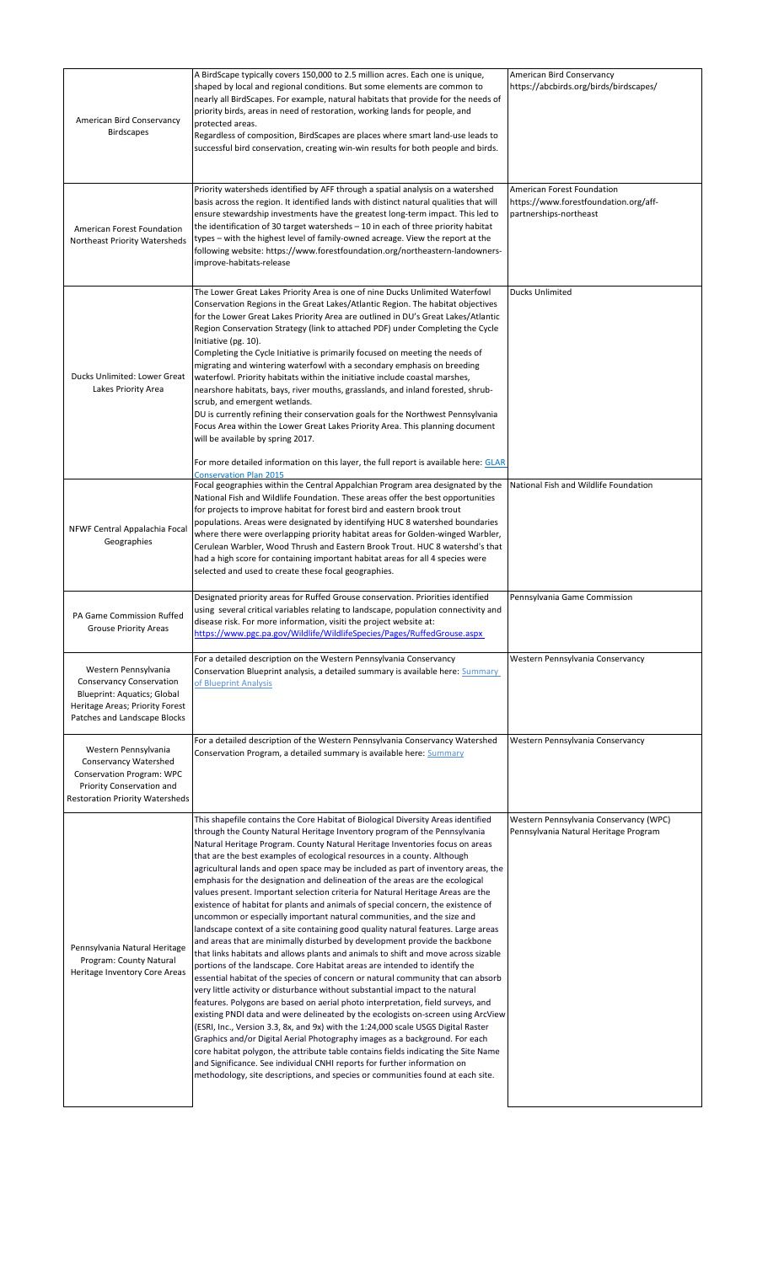| American Bird Conservancy<br><b>Birdscapes</b>                                                                                                                   | A BirdScape typically covers 150,000 to 2.5 million acres. Each one is unique,<br>shaped by local and regional conditions. But some elements are common to<br>nearly all BirdScapes. For example, natural habitats that provide for the needs of<br>priority birds, areas in need of restoration, working lands for people, and<br>protected areas.<br>Regardless of composition, BirdScapes are places where smart land-use leads to<br>successful bird conservation, creating win-win results for both people and birds.                                                                                                                                                                                                                                                                                                                                                                                                                                                                                                                                      | American Bird Conservancy<br>https://abcbirds.org/birds/birdscapes/                           |
|------------------------------------------------------------------------------------------------------------------------------------------------------------------|-----------------------------------------------------------------------------------------------------------------------------------------------------------------------------------------------------------------------------------------------------------------------------------------------------------------------------------------------------------------------------------------------------------------------------------------------------------------------------------------------------------------------------------------------------------------------------------------------------------------------------------------------------------------------------------------------------------------------------------------------------------------------------------------------------------------------------------------------------------------------------------------------------------------------------------------------------------------------------------------------------------------------------------------------------------------|-----------------------------------------------------------------------------------------------|
| American Forest Foundation<br>Northeast Priority Watersheds                                                                                                      | Priority watersheds identified by AFF through a spatial analysis on a watershed<br>basis across the region. It identified lands with distinct natural qualities that will<br>ensure stewardship investments have the greatest long-term impact. This led to<br>the identification of 30 target watersheds - 10 in each of three priority habitat<br>types - with the highest level of family-owned acreage. View the report at the<br>following website: https://www.forestfoundation.org/northeastern-landowners-<br>improve-habitats-release                                                                                                                                                                                                                                                                                                                                                                                                                                                                                                                  | American Forest Foundation<br>https://www.forestfoundation.org/aff-<br>partnerships-northeast |
| Ducks Unlimited: Lower Great<br>Lakes Priority Area                                                                                                              | The Lower Great Lakes Priority Area is one of nine Ducks Unlimited Waterfowl<br>Conservation Regions in the Great Lakes/Atlantic Region. The habitat objectives<br>for the Lower Great Lakes Priority Area are outlined in DU's Great Lakes/Atlantic<br>Region Conservation Strategy (link to attached PDF) under Completing the Cycle<br>Initiative (pg. 10).<br>Completing the Cycle Initiative is primarily focused on meeting the needs of<br>migrating and wintering waterfowl with a secondary emphasis on breeding<br>waterfowl. Priority habitats within the initiative include coastal marshes,<br>nearshore habitats, bays, river mouths, grasslands, and inland forested, shrub-<br>scrub, and emergent wetlands.<br>DU is currently refining their conservation goals for the Northwest Pennsylvania<br>Focus Area within the Lower Great Lakes Priority Area. This planning document<br>will be available by spring 2017.<br>For more detailed information on this layer, the full report is available here: GLAR<br><b>Conservation Plan 2015</b> | <b>Ducks Unlimited</b>                                                                        |
| NFWF Central Appalachia Focal<br>Geographies                                                                                                                     | Focal geographies within the Central Appalchian Program area designated by the<br>National Fish and Wildlife Foundation. These areas offer the best opportunities<br>for projects to improve habitat for forest bird and eastern brook trout<br>populations. Areas were designated by identifying HUC 8 watershed boundaries<br>where there were overlapping priority habitat areas for Golden-winged Warbler,<br>Cerulean Warbler, Wood Thrush and Eastern Brook Trout. HUC 8 watershd's that<br>had a high score for containing important habitat areas for all 4 species were<br>selected and used to create these focal geographies.                                                                                                                                                                                                                                                                                                                                                                                                                        | National Fish and Wildlife Foundation                                                         |
|                                                                                                                                                                  |                                                                                                                                                                                                                                                                                                                                                                                                                                                                                                                                                                                                                                                                                                                                                                                                                                                                                                                                                                                                                                                                 |                                                                                               |
| PA Game Commission Ruffed<br><b>Grouse Priority Areas</b>                                                                                                        | Designated priority areas for Ruffed Grouse conservation. Priorities identified<br>using several critical variables relating to landscape, population connectivity and<br>disease risk. For more information, visiti the project website at:<br>https://www.pgc.pa.gov/Wildlife/WildlifeSpecies/Pages/RuffedGrouse.aspx                                                                                                                                                                                                                                                                                                                                                                                                                                                                                                                                                                                                                                                                                                                                         | Pennsylvania Game Commission                                                                  |
| Western Pennsylvania<br><b>Conservancy Conservation</b><br><b>Blueprint: Aquatics; Global</b><br>Heritage Areas; Priority Forest<br>Patches and Landscape Blocks | For a detailed description on the Western Pennsylvania Conservancy<br>Conservation Blueprint analysis, a detailed summary is available here: Summary<br>of Blueprint Analysis                                                                                                                                                                                                                                                                                                                                                                                                                                                                                                                                                                                                                                                                                                                                                                                                                                                                                   | Western Pennsylvania Conservancy                                                              |
| Western Pennsylvania<br><b>Conservancy Watershed</b><br>Conservation Program: WPC<br>Priority Conservation and<br><b>Restoration Priority Watersheds</b>         | For a detailed description of the Western Pennsylvania Conservancy Watershed<br>Conservation Program, a detailed summary is available here: Summary                                                                                                                                                                                                                                                                                                                                                                                                                                                                                                                                                                                                                                                                                                                                                                                                                                                                                                             | Western Pennsylvania Conservancy                                                              |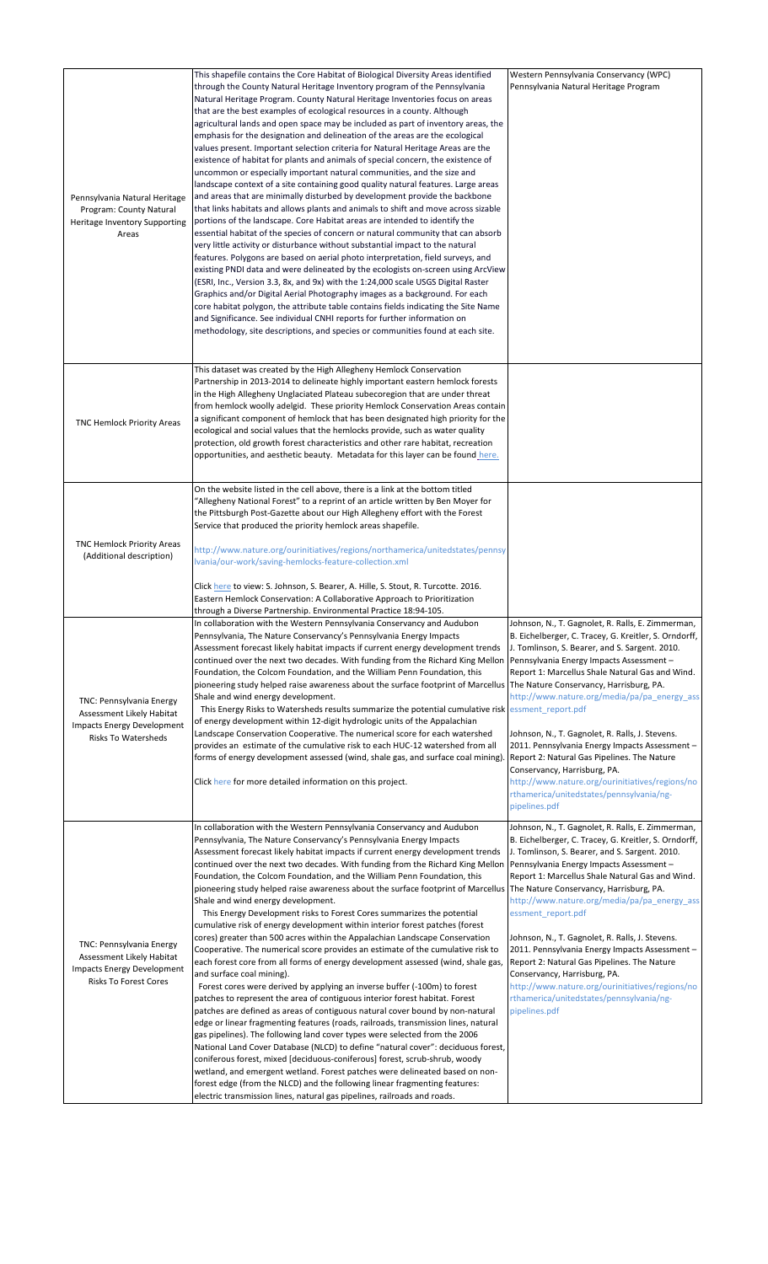| Pennsylvania Natural Heritage<br>Program: County Natural<br>Heritage Inventory Supporting<br>Areas                         | This shapefile contains the Core Habitat of Biological Diversity Areas identified<br>through the County Natural Heritage Inventory program of the Pennsylvania<br>Natural Heritage Program. County Natural Heritage Inventories focus on areas<br>that are the best examples of ecological resources in a county. Although<br>agricultural lands and open space may be included as part of inventory areas, the<br>emphasis for the designation and delineation of the areas are the ecological<br>values present. Important selection criteria for Natural Heritage Areas are the<br>existence of habitat for plants and animals of special concern, the existence of<br>uncommon or especially important natural communities, and the size and<br>landscape context of a site containing good quality natural features. Large areas<br>and areas that are minimally disturbed by development provide the backbone<br>that links habitats and allows plants and animals to shift and move across sizable<br>portions of the landscape. Core Habitat areas are intended to identify the<br>essential habitat of the species of concern or natural community that can absorb<br>very little activity or disturbance without substantial impact to the natural<br>features. Polygons are based on aerial photo interpretation, field surveys, and<br>existing PNDI data and were delineated by the ecologists on-screen using ArcView<br>(ESRI, Inc., Version 3.3, 8x, and 9x) with the 1:24,000 scale USGS Digital Raster<br>Graphics and/or Digital Aerial Photography images as a background. For each<br>core habitat polygon, the attribute table contains fields indicating the Site Name<br>and Significance. See individual CNHI reports for further information on<br>methodology, site descriptions, and species or communities found at each site. | Western Pennsylvania Conservancy (WPC)<br>Pennsylvania Natural Heritage Program                                                                                                                                                                                                                                                                                                                                                                                                                                                                                                                                                                                                  |
|----------------------------------------------------------------------------------------------------------------------------|-------------------------------------------------------------------------------------------------------------------------------------------------------------------------------------------------------------------------------------------------------------------------------------------------------------------------------------------------------------------------------------------------------------------------------------------------------------------------------------------------------------------------------------------------------------------------------------------------------------------------------------------------------------------------------------------------------------------------------------------------------------------------------------------------------------------------------------------------------------------------------------------------------------------------------------------------------------------------------------------------------------------------------------------------------------------------------------------------------------------------------------------------------------------------------------------------------------------------------------------------------------------------------------------------------------------------------------------------------------------------------------------------------------------------------------------------------------------------------------------------------------------------------------------------------------------------------------------------------------------------------------------------------------------------------------------------------------------------------------------------------------------------------------------------------------------------------------------------------------|----------------------------------------------------------------------------------------------------------------------------------------------------------------------------------------------------------------------------------------------------------------------------------------------------------------------------------------------------------------------------------------------------------------------------------------------------------------------------------------------------------------------------------------------------------------------------------------------------------------------------------------------------------------------------------|
| <b>TNC Hemlock Priority Areas</b>                                                                                          | This dataset was created by the High Allegheny Hemlock Conservation<br>Partnership in 2013-2014 to delineate highly important eastern hemlock forests<br>in the High Allegheny Unglaciated Plateau subecoregion that are under threat<br>from hemlock woolly adelgid. These priority Hemlock Conservation Areas contain<br>a significant component of hemlock that has been designated high priority for the<br>ecological and social values that the hemlocks provide, such as water quality<br>protection, old growth forest characteristics and other rare habitat, recreation<br>opportunities, and aesthetic beauty. Metadata for this layer can be found here.                                                                                                                                                                                                                                                                                                                                                                                                                                                                                                                                                                                                                                                                                                                                                                                                                                                                                                                                                                                                                                                                                                                                                                                        |                                                                                                                                                                                                                                                                                                                                                                                                                                                                                                                                                                                                                                                                                  |
| <b>TNC Hemlock Priority Areas</b><br>(Additional description)                                                              | On the website listed in the cell above, there is a link at the bottom titled<br>'Allegheny National Forest" to a reprint of an article written by Ben Moyer for<br>the Pittsburgh Post-Gazette about our High Allegheny effort with the Forest<br>Service that produced the priority hemlock areas shapefile.<br>http://www.nature.org/ourinitiatives/regions/northamerica/unitedstates/pennsy<br>Ivania/our-work/saving-hemlocks-feature-collection.xml<br>Click here to view: S. Johnson, S. Bearer, A. Hille, S. Stout, R. Turcotte. 2016.<br>Eastern Hemlock Conservation: A Collaborative Approach to Prioritization<br>through a Diverse Partnership. Environmental Practice 18:94-105.                                                                                                                                                                                                                                                                                                                                                                                                                                                                                                                                                                                                                                                                                                                                                                                                                                                                                                                                                                                                                                                                                                                                                              |                                                                                                                                                                                                                                                                                                                                                                                                                                                                                                                                                                                                                                                                                  |
| TNC: Pennsylvania Energy<br>Assessment Likely Habitat<br><b>Impacts Energy Development</b><br><b>Risks To Watersheds</b>   | In collaboration with the Western Pennsylvania Conservancy and Audubon<br>Pennsylvania, The Nature Conservancy's Pennsylvania Energy Impacts<br>Assessment forecast likely habitat impacts if current energy development trends<br>continued over the next two decades. With funding from the Richard King Mellon<br>Foundation, the Colcom Foundation, and the William Penn Foundation, this<br>pioneering study helped raise awareness about the surface footprint of Marcellus  The Nature Conservancy, Harrisburg, PA.<br>Shale and wind energy development.<br>This Energy Risks to Watersheds results summarize the potential cumulative risk<br>of energy development within 12-digit hydrologic units of the Appalachian<br>Landscape Conservation Cooperative. The numerical score for each watershed<br>provides an estimate of the cumulative risk to each HUC-12 watershed from all<br>forms of energy development assessed (wind, shale gas, and surface coal mining)<br>Click here for more detailed information on this project.                                                                                                                                                                                                                                                                                                                                                                                                                                                                                                                                                                                                                                                                                                                                                                                                             | Johnson, N., T. Gagnolet, R. Ralls, E. Zimmerman,<br>B. Eichelberger, C. Tracey, G. Kreitler, S. Orndorff,<br>J. Tomlinson, S. Bearer, and S. Sargent. 2010.<br>Pennsylvania Energy Impacts Assessment-<br>Report 1: Marcellus Shale Natural Gas and Wind.<br>http://www.nature.org/media/pa/pa energy ass<br>essment_report.pdf<br>Johnson, N., T. Gagnolet, R. Ralls, J. Stevens.<br>2011. Pennsylvania Energy Impacts Assessment -<br>Report 2: Natural Gas Pipelines. The Nature<br>Conservancy, Harrisburg, PA.<br>http://www.nature.org/ourinitiatives/regions/no<br>rthamerica/unitedstates/pennsylvania/ng-<br>pipelines.pdf                                             |
| TNC: Pennsylvania Energy<br>Assessment Likely Habitat<br><b>Impacts Energy Development</b><br><b>Risks To Forest Cores</b> | In collaboration with the Western Pennsylvania Conservancy and Audubon<br>Pennsylvania, The Nature Conservancy's Pennsylvania Energy Impacts<br>Assessment forecast likely habitat impacts if current energy development trends<br>continued over the next two decades. With funding from the Richard King Mellon<br>Foundation, the Colcom Foundation, and the William Penn Foundation, this<br>pioneering study helped raise awareness about the surface footprint of Marcellus<br>Shale and wind energy development.<br>This Energy Development risks to Forest Cores summarizes the potential<br>cumulative risk of energy development within interior forest patches (forest<br>cores) greater than 500 acres within the Appalachian Landscape Conservation<br>Cooperative. The numerical score provides an estimate of the cumulative risk to<br>each forest core from all forms of energy development assessed (wind, shale gas,<br>and surface coal mining).<br>Forest cores were derived by applying an inverse buffer (-100m) to forest<br>patches to represent the area of contiguous interior forest habitat. Forest<br>patches are defined as areas of contiguous natural cover bound by non-natural<br>edge or linear fragmenting features (roads, railroads, transmission lines, natural<br>gas pipelines). The following land cover types were selected from the 2006<br>National Land Cover Database (NLCD) to define "natural cover": deciduous forest,<br>coniferous forest, mixed [deciduous-coniferous] forest, scrub-shrub, woody<br>wetland, and emergent wetland. Forest patches were delineated based on non-<br>forest edge (from the NLCD) and the following linear fragmenting features:<br>electric transmission lines, natural gas pipelines, railroads and roads.                                                            | Johnson, N., T. Gagnolet, R. Ralls, E. Zimmerman,<br>B. Eichelberger, C. Tracey, G. Kreitler, S. Orndorff,<br>J. Tomlinson, S. Bearer, and S. Sargent. 2010.<br>Pennsylvania Energy Impacts Assessment -<br>Report 1: Marcellus Shale Natural Gas and Wind.<br>The Nature Conservancy, Harrisburg, PA.<br>http://www.nature.org/media/pa/pa_energy_ass<br>essment_report.pdf<br>Johnson, N., T. Gagnolet, R. Ralls, J. Stevens.<br>2011. Pennsylvania Energy Impacts Assessment -<br>Report 2: Natural Gas Pipelines. The Nature<br>Conservancy, Harrisburg, PA.<br>http://www.nature.org/ourinitiatives/regions/no<br>rthamerica/unitedstates/pennsylvania/ng-<br>pipelines.pdf |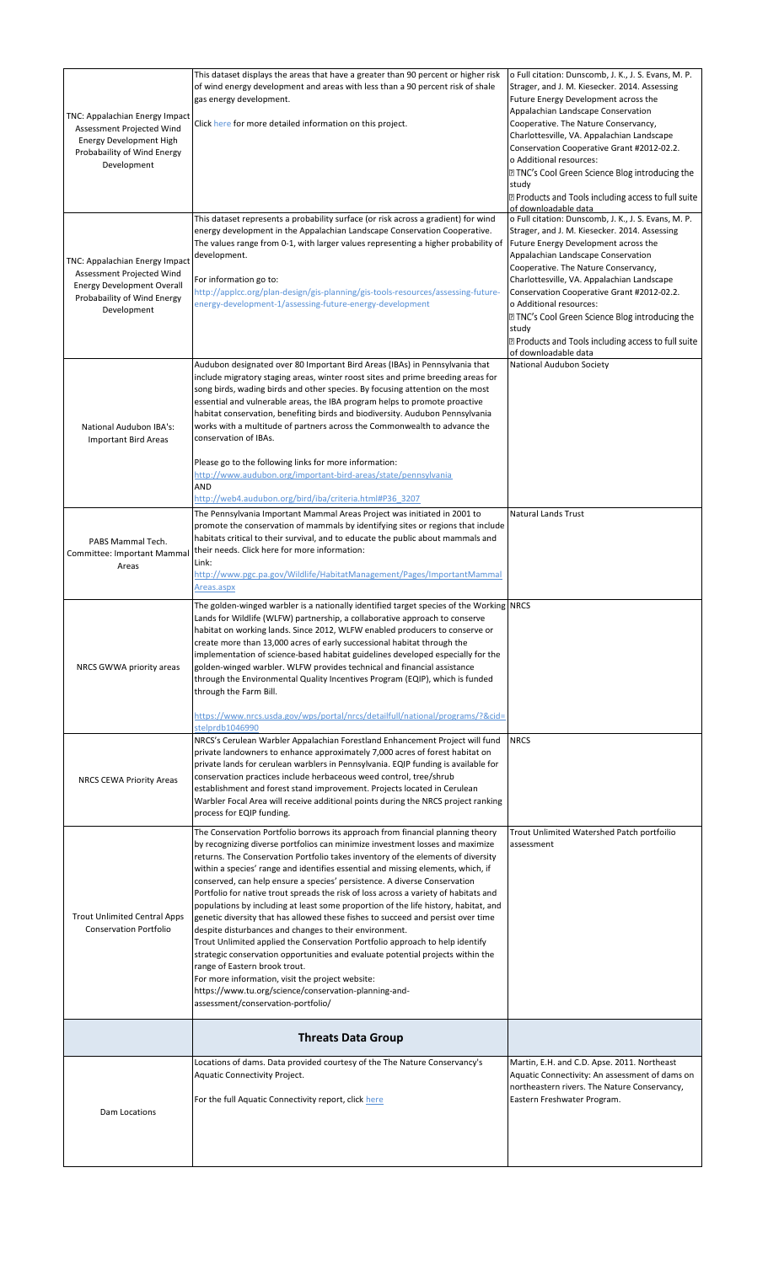|                                     | This dataset displays the areas that have a greater than 90 percent or higher risk                                                                                | o Full citation: Dunscomb, J. K., J. S. Evans, M. P.                                           |
|-------------------------------------|-------------------------------------------------------------------------------------------------------------------------------------------------------------------|------------------------------------------------------------------------------------------------|
|                                     | of wind energy development and areas with less than a 90 percent risk of shale                                                                                    | Strager, and J. M. Kiesecker. 2014. Assessing                                                  |
|                                     | gas energy development.                                                                                                                                           | Future Energy Development across the                                                           |
| TNC: Appalachian Energy Impact      |                                                                                                                                                                   | Appalachian Landscape Conservation                                                             |
| Assessment Projected Wind           | Click here for more detailed information on this project.                                                                                                         | Cooperative. The Nature Conservancy,                                                           |
| Energy Development High             |                                                                                                                                                                   | Charlottesville, VA. Appalachian Landscape                                                     |
| Probabaility of Wind Energy         |                                                                                                                                                                   | Conservation Cooperative Grant #2012-02.2.<br>o Additional resources:                          |
| Development                         |                                                                                                                                                                   | <b>Z TNC's Cool Green Science Blog introducing the</b>                                         |
|                                     |                                                                                                                                                                   | study                                                                                          |
|                                     |                                                                                                                                                                   | 2 Products and Tools including access to full suite                                            |
|                                     |                                                                                                                                                                   | of downloadable data                                                                           |
|                                     | This dataset represents a probability surface (or risk across a gradient) for wind                                                                                | o Full citation: Dunscomb, J. K., J. S. Evans, M. P.                                           |
|                                     | energy development in the Appalachian Landscape Conservation Cooperative.                                                                                         | Strager, and J. M. Kiesecker. 2014. Assessing                                                  |
|                                     | The values range from 0-1, with larger values representing a higher probability of                                                                                | Future Energy Development across the                                                           |
| TNC: Appalachian Energy Impact      | development.                                                                                                                                                      | Appalachian Landscape Conservation                                                             |
| Assessment Projected Wind           | For information go to:                                                                                                                                            | Cooperative. The Nature Conservancy,<br>Charlottesville, VA. Appalachian Landscape             |
| <b>Energy Development Overall</b>   | http://applcc.org/plan-design/gis-planning/gis-tools-resources/assessing-future-                                                                                  | Conservation Cooperative Grant #2012-02.2.                                                     |
| Probabaility of Wind Energy         | energy-development-1/assessing-future-energy-development                                                                                                          | o Additional resources:                                                                        |
| Development                         |                                                                                                                                                                   | <b>Z TNC's Cool Green Science Blog introducing the</b>                                         |
|                                     |                                                                                                                                                                   | study                                                                                          |
|                                     |                                                                                                                                                                   | <b>Z</b> Products and Tools including access to full suite                                     |
|                                     |                                                                                                                                                                   | of downloadable data                                                                           |
|                                     | Audubon designated over 80 Important Bird Areas (IBAs) in Pennsylvania that                                                                                       | National Audubon Society                                                                       |
|                                     | include migratory staging areas, winter roost sites and prime breeding areas for                                                                                  |                                                                                                |
|                                     | song birds, wading birds and other species. By focusing attention on the most                                                                                     |                                                                                                |
|                                     | essential and vulnerable areas, the IBA program helps to promote proactive                                                                                        |                                                                                                |
| National Audubon IBA's:             | habitat conservation, benefiting birds and biodiversity. Audubon Pennsylvania<br>works with a multitude of partners across the Commonwealth to advance the        |                                                                                                |
|                                     | conservation of IBAs.                                                                                                                                             |                                                                                                |
| <b>Important Bird Areas</b>         |                                                                                                                                                                   |                                                                                                |
|                                     | Please go to the following links for more information:                                                                                                            |                                                                                                |
|                                     | http://www.audubon.org/important-bird-areas/state/pennsylvania                                                                                                    |                                                                                                |
|                                     | AND                                                                                                                                                               |                                                                                                |
|                                     | http://web4.audubon.org/bird/iba/criteria.html#P36 3207                                                                                                           |                                                                                                |
|                                     | The Pennsylvania Important Mammal Areas Project was initiated in 2001 to                                                                                          | Natural Lands Trust                                                                            |
|                                     | promote the conservation of mammals by identifying sites or regions that include                                                                                  |                                                                                                |
| PABS Mammal Tech.                   | habitats critical to their survival, and to educate the public about mammals and                                                                                  |                                                                                                |
| Committee: Important Mammal         | their needs. Click here for more information:                                                                                                                     |                                                                                                |
| Areas                               | Link:                                                                                                                                                             |                                                                                                |
|                                     | http://www.pgc.pa.gov/Wildlife/HabitatManagement/Pages/ImportantMammal<br>Areas.aspx                                                                              |                                                                                                |
|                                     |                                                                                                                                                                   |                                                                                                |
|                                     | The golden-winged warbler is a nationally identified target species of the Working NRCS                                                                           |                                                                                                |
|                                     | Lands for Wildlife (WLFW) partnership, a collaborative approach to conserve                                                                                       |                                                                                                |
|                                     | habitat on working lands. Since 2012, WLFW enabled producers to conserve or                                                                                       |                                                                                                |
|                                     | create more than 13,000 acres of early successional habitat through the<br>implementation of science-based habitat guidelines developed especially for the        |                                                                                                |
| NRCS GWWA priority areas            | golden-winged warbler. WLFW provides technical and financial assistance                                                                                           |                                                                                                |
|                                     | through the Environmental Quality Incentives Program (EQIP), which is funded                                                                                      |                                                                                                |
|                                     | through the Farm Bill.                                                                                                                                            |                                                                                                |
|                                     |                                                                                                                                                                   |                                                                                                |
|                                     | https://www.nrcs.usda.gov/wps/portal/nrcs/detailfull/national/programs/?&cid=                                                                                     |                                                                                                |
|                                     | stelprdb1046990                                                                                                                                                   |                                                                                                |
|                                     | NRCS's Cerulean Warbler Appalachian Forestland Enhancement Project will fund                                                                                      | <b>NRCS</b>                                                                                    |
|                                     | private landowners to enhance approximately 7,000 acres of forest habitat on                                                                                      |                                                                                                |
|                                     | private lands for cerulean warblers in Pennsylvania. EQIP funding is available for                                                                                |                                                                                                |
| <b>NRCS CEWA Priority Areas</b>     | conservation practices include herbaceous weed control, tree/shrub<br>establishment and forest stand improvement. Projects located in Cerulean                    |                                                                                                |
|                                     | Warbler Focal Area will receive additional points during the NRCS project ranking                                                                                 |                                                                                                |
|                                     | process for EQIP funding.                                                                                                                                         |                                                                                                |
|                                     |                                                                                                                                                                   |                                                                                                |
|                                     | The Conservation Portfolio borrows its approach from financial planning theory                                                                                    | Trout Unlimited Watershed Patch portfoilio                                                     |
|                                     | by recognizing diverse portfolios can minimize investment losses and maximize                                                                                     | assessment                                                                                     |
|                                     | returns. The Conservation Portfolio takes inventory of the elements of diversity                                                                                  |                                                                                                |
|                                     | within a species' range and identifies essential and missing elements, which, if                                                                                  |                                                                                                |
|                                     | conserved, can help ensure a species' persistence. A diverse Conservation<br>Portfolio for native trout spreads the risk of loss across a variety of habitats and |                                                                                                |
|                                     | populations by including at least some proportion of the life history, habitat, and                                                                               |                                                                                                |
| <b>Trout Unlimited Central Apps</b> | genetic diversity that has allowed these fishes to succeed and persist over time                                                                                  |                                                                                                |
| <b>Conservation Portfolio</b>       | despite disturbances and changes to their environment.                                                                                                            |                                                                                                |
|                                     | Trout Unlimited applied the Conservation Portfolio approach to help identify                                                                                      |                                                                                                |
|                                     | strategic conservation opportunities and evaluate potential projects within the                                                                                   |                                                                                                |
|                                     | range of Eastern brook trout.                                                                                                                                     |                                                                                                |
|                                     | For more information, visit the project website:                                                                                                                  |                                                                                                |
|                                     | https://www.tu.org/science/conservation-planning-and-<br>assessment/conservation-portfolio/                                                                       |                                                                                                |
|                                     |                                                                                                                                                                   |                                                                                                |
|                                     |                                                                                                                                                                   |                                                                                                |
|                                     | <b>Threats Data Group</b>                                                                                                                                         |                                                                                                |
|                                     | Locations of dams. Data provided courtesy of the The Nature Conservancy's                                                                                         | Martin, E.H. and C.D. Apse. 2011. Northeast                                                    |
|                                     | Aquatic Connectivity Project.                                                                                                                                     | Aquatic Connectivity: An assessment of dams on<br>northeastern rivers. The Nature Conservancy, |
|                                     | For the full Aquatic Connectivity report, click here                                                                                                              | Eastern Freshwater Program.                                                                    |
| Dam Locations                       |                                                                                                                                                                   |                                                                                                |
|                                     |                                                                                                                                                                   |                                                                                                |
|                                     |                                                                                                                                                                   |                                                                                                |
|                                     |                                                                                                                                                                   |                                                                                                |
|                                     |                                                                                                                                                                   |                                                                                                |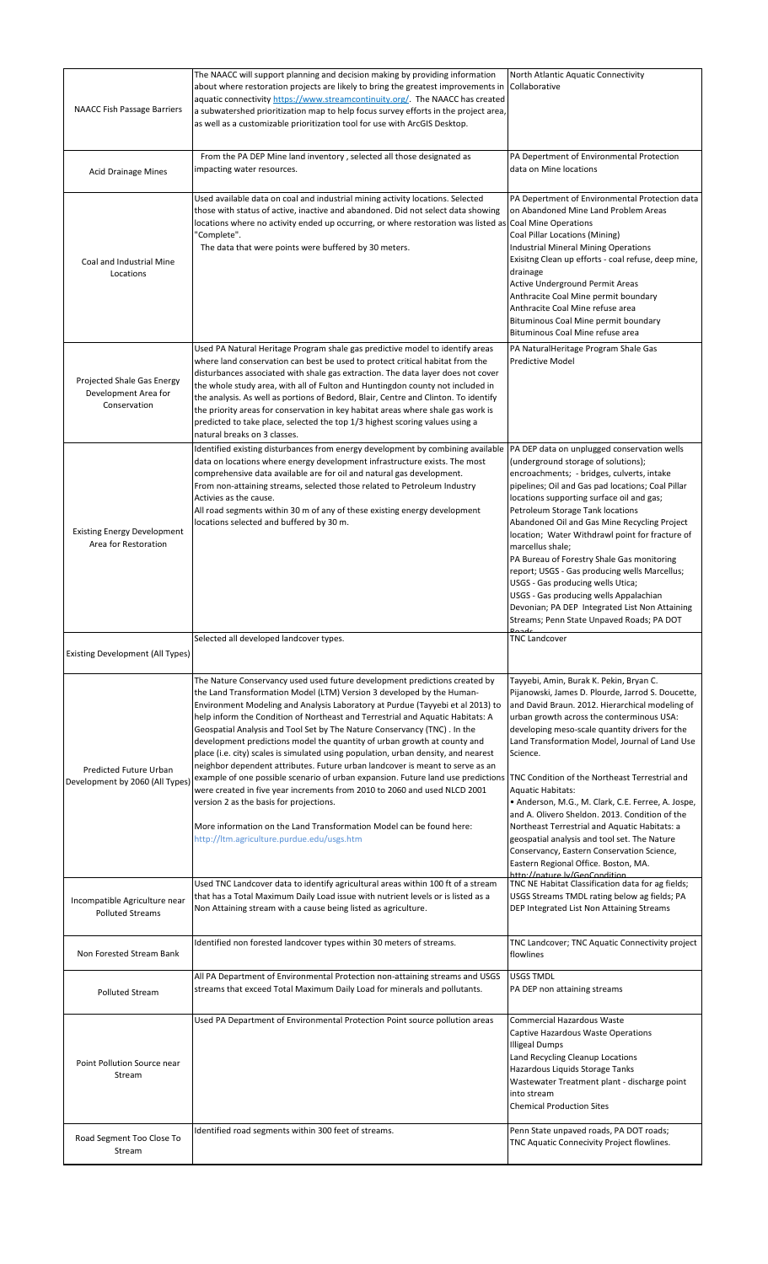| <b>NAACC Fish Passage Barriers</b>                                 | The NAACC will support planning and decision making by providing information<br>about where restoration projects are likely to bring the greatest improvements in<br>aquatic connectivity https://www.streamcontinuity.org/. The NAACC has created<br>a subwatershed prioritization map to help focus survey efforts in the project area,<br>as well as a customizable prioritization tool for use with ArcGIS Desktop.                                                                                                                                                                                                                                                                                                                                                                                                                                                                                                                                                                  | North Atlantic Aquatic Connectivity<br>Collaborative                                                                                                                                                                                                                                                                                                                                                                                                                                                                                                                                                                                                                                                                       |
|--------------------------------------------------------------------|------------------------------------------------------------------------------------------------------------------------------------------------------------------------------------------------------------------------------------------------------------------------------------------------------------------------------------------------------------------------------------------------------------------------------------------------------------------------------------------------------------------------------------------------------------------------------------------------------------------------------------------------------------------------------------------------------------------------------------------------------------------------------------------------------------------------------------------------------------------------------------------------------------------------------------------------------------------------------------------|----------------------------------------------------------------------------------------------------------------------------------------------------------------------------------------------------------------------------------------------------------------------------------------------------------------------------------------------------------------------------------------------------------------------------------------------------------------------------------------------------------------------------------------------------------------------------------------------------------------------------------------------------------------------------------------------------------------------------|
| <b>Acid Drainage Mines</b>                                         | From the PA DEP Mine land inventory, selected all those designated as<br>impacting water resources.                                                                                                                                                                                                                                                                                                                                                                                                                                                                                                                                                                                                                                                                                                                                                                                                                                                                                      | PA Depertment of Environmental Protection<br>data on Mine locations                                                                                                                                                                                                                                                                                                                                                                                                                                                                                                                                                                                                                                                        |
| Coal and Industrial Mine<br>Locations                              | Used available data on coal and industrial mining activity locations. Selected<br>those with status of active, inactive and abandoned. Did not select data showing<br>locations where no activity ended up occurring, or where restoration was listed as<br>"Complete".<br>The data that were points were buffered by 30 meters.                                                                                                                                                                                                                                                                                                                                                                                                                                                                                                                                                                                                                                                         | PA Depertment of Environmental Protection data<br>on Abandoned Mine Land Problem Areas<br>Coal Mine Operations<br>Coal Pillar Locations (Mining)<br><b>Industrial Mineral Mining Operations</b><br>Exisitng Clean up efforts - coal refuse, deep mine,<br>drainage<br><b>Active Underground Permit Areas</b><br>Anthracite Coal Mine permit boundary<br>Anthracite Coal Mine refuse area<br>Bituminous Coal Mine permit boundary<br>Bituminous Coal Mine refuse area                                                                                                                                                                                                                                                       |
| Projected Shale Gas Energy<br>Development Area for<br>Conservation | Used PA Natural Heritage Program shale gas predictive model to identify areas<br>where land conservation can best be used to protect critical habitat from the<br>disturbances associated with shale gas extraction. The data layer does not cover<br>the whole study area, with all of Fulton and Huntingdon county not included in<br>the analysis. As well as portions of Bedord, Blair, Centre and Clinton. To identify<br>the priority areas for conservation in key habitat areas where shale gas work is<br>predicted to take place, selected the top 1/3 highest scoring values using a<br>natural breaks on 3 classes.                                                                                                                                                                                                                                                                                                                                                          | PA NaturalHeritage Program Shale Gas<br>Predictive Model                                                                                                                                                                                                                                                                                                                                                                                                                                                                                                                                                                                                                                                                   |
| <b>Existing Energy Development</b><br>Area for Restoration         | Identified existing disturbances from energy development by combining available<br>data on locations where energy development infrastructure exists. The most<br>comprehensive data available are for oil and natural gas development.<br>From non-attaining streams, selected those related to Petroleum Industry<br>Activies as the cause.<br>All road segments within 30 m of any of these existing energy development<br>locations selected and buffered by 30 m.                                                                                                                                                                                                                                                                                                                                                                                                                                                                                                                    | PA DEP data on unplugged conservation wells<br>(underground storage of solutions);<br>encroachments; - bridges, culverts, intake<br>pipelines; Oil and Gas pad locations; Coal Pillar<br>locations supporting surface oil and gas;<br>Petroleum Storage Tank locations<br>Abandoned Oil and Gas Mine Recycling Project<br>location; Water Withdrawl point for fracture of<br>marcellus shale;<br>PA Bureau of Forestry Shale Gas monitoring<br>report; USGS - Gas producing wells Marcellus;<br>USGS - Gas producing wells Utica;<br>USGS - Gas producing wells Appalachian<br>Devonian; PA DEP Integrated List Non Attaining<br>Streams; Penn State Unpaved Roads; PA DOT                                                 |
| <b>Existing Development (All Types)</b>                            | Selected all developed landcover types.                                                                                                                                                                                                                                                                                                                                                                                                                                                                                                                                                                                                                                                                                                                                                                                                                                                                                                                                                  | <b>TNC Landcover</b>                                                                                                                                                                                                                                                                                                                                                                                                                                                                                                                                                                                                                                                                                                       |
| Predicted Future Urban<br>Development by 2060 (All Types)          | The Nature Conservancy used used future development predictions created by<br>the Land Transformation Model (LTM) Version 3 developed by the Human-<br>Environment Modeling and Analysis Laboratory at Purdue (Tayyebi et al 2013) to<br>help inform the Condition of Northeast and Terrestrial and Aquatic Habitats: A<br>Geospatial Analysis and Tool Set by The Nature Conservancy (TNC). In the<br>development predictions model the quantity of urban growth at county and<br>place (i.e. city) scales is simulated using population, urban density, and nearest<br>neighbor dependent attributes. Future urban landcover is meant to serve as an<br>example of one possible scenario of urban expansion. Future land use predictions<br>were created in five year increments from 2010 to 2060 and used NLCD 2001<br>version 2 as the basis for projections.<br>More information on the Land Transformation Model can be found here:<br>http://ltm.agriculture.purdue.edu/usgs.htm | Tayyebi, Amin, Burak K. Pekin, Bryan C.<br>Pijanowski, James D. Plourde, Jarrod S. Doucette,<br>and David Braun. 2012. Hierarchical modeling of<br>urban growth across the conterminous USA:<br>developing meso-scale quantity drivers for the<br>Land Transformation Model, Journal of Land Use<br>Science.<br>TNC Condition of the Northeast Terrestrial and<br><b>Aquatic Habitats:</b><br>• Anderson, M.G., M. Clark, C.E. Ferree, A. Jospe,<br>and A. Olivero Sheldon. 2013. Condition of the<br>Northeast Terrestrial and Aquatic Habitats: a<br>geospatial analysis and tool set. The Nature<br>Conservancy, Eastern Conservation Science,<br>Eastern Regional Office. Boston, MA.<br>httn://nature.ly/GeoCondition |
| Incompatible Agriculture near<br><b>Polluted Streams</b>           | Used TNC Landcover data to identify agricultural areas within 100 ft of a stream<br>that has a Total Maximum Daily Load issue with nutrient levels or is listed as a<br>Non Attaining stream with a cause being listed as agriculture.                                                                                                                                                                                                                                                                                                                                                                                                                                                                                                                                                                                                                                                                                                                                                   | TNC NE Habitat Classification data for ag fields;<br>USGS Streams TMDL rating below ag fields; PA<br>DEP Integrated List Non Attaining Streams                                                                                                                                                                                                                                                                                                                                                                                                                                                                                                                                                                             |
| Non Forested Stream Bank                                           | Identified non forested landcover types within 30 meters of streams.                                                                                                                                                                                                                                                                                                                                                                                                                                                                                                                                                                                                                                                                                                                                                                                                                                                                                                                     | TNC Landcover; TNC Aquatic Connectivity project<br>flowlines                                                                                                                                                                                                                                                                                                                                                                                                                                                                                                                                                                                                                                                               |
| <b>Polluted Stream</b>                                             | All PA Department of Environmental Protection non-attaining streams and USGS<br>streams that exceed Total Maximum Daily Load for minerals and pollutants.                                                                                                                                                                                                                                                                                                                                                                                                                                                                                                                                                                                                                                                                                                                                                                                                                                | USGS TMDL<br>PA DEP non attaining streams                                                                                                                                                                                                                                                                                                                                                                                                                                                                                                                                                                                                                                                                                  |
| Point Pollution Source near<br>Stream                              | Used PA Department of Environmental Protection Point source pollution areas                                                                                                                                                                                                                                                                                                                                                                                                                                                                                                                                                                                                                                                                                                                                                                                                                                                                                                              | Commercial Hazardous Waste<br>Captive Hazardous Waste Operations<br>Illigeal Dumps<br>Land Recycling Cleanup Locations<br>Hazardous Liquids Storage Tanks<br>Wastewater Treatment plant - discharge point<br>into stream<br><b>Chemical Production Sites</b>                                                                                                                                                                                                                                                                                                                                                                                                                                                               |
| Road Segment Too Close To<br>Stream                                | Identified road segments within 300 feet of streams.                                                                                                                                                                                                                                                                                                                                                                                                                                                                                                                                                                                                                                                                                                                                                                                                                                                                                                                                     | Penn State unpaved roads, PA DOT roads;<br>TNC Aquatic Connecivity Project flowlines.                                                                                                                                                                                                                                                                                                                                                                                                                                                                                                                                                                                                                                      |